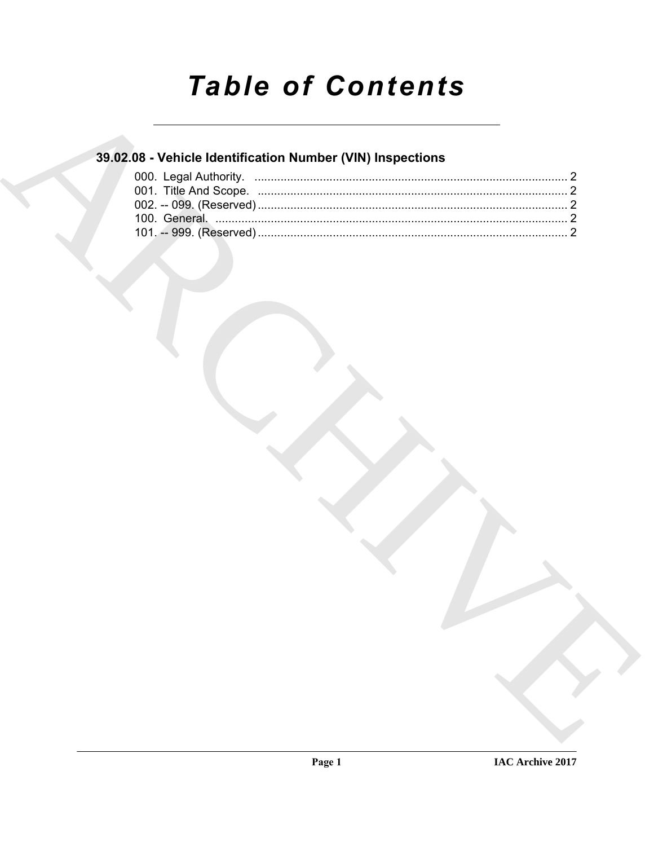# **Table of Contents**

## 39.02.08 - Vehicle Identification Number (VIN) Inspections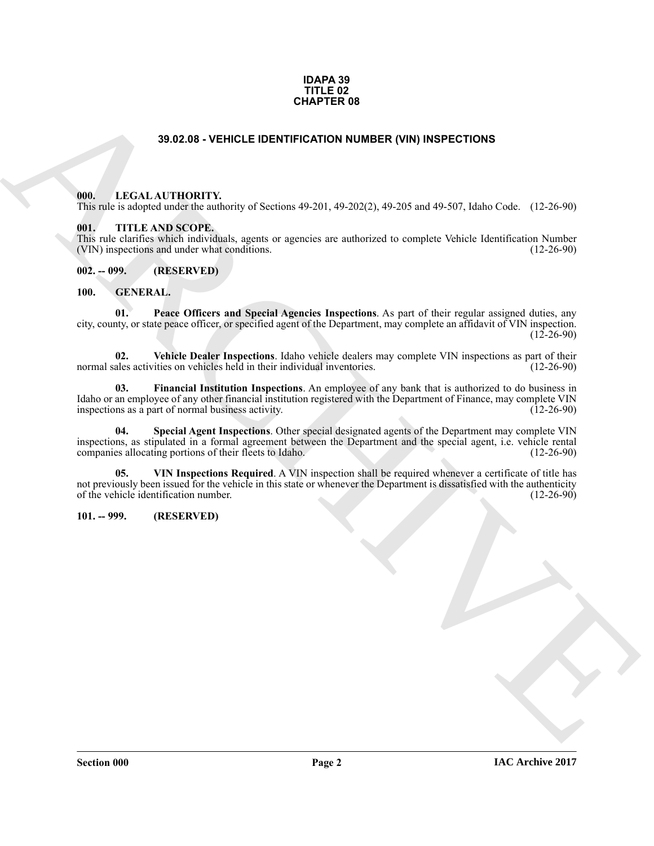#### **IDAPA 39 TITLE 02 CHAPTER 08**

#### **39.02.08 - VEHICLE IDENTIFICATION NUMBER (VIN) INSPECTIONS**

#### <span id="page-1-1"></span><span id="page-1-0"></span>**000. LEGAL AUTHORITY.**

This rule is adopted under the authority of Sections 49-201, 49-202(2), 49-205 and 49-507, Idaho Code. (12-26-90)

#### <span id="page-1-2"></span>**001. TITLE AND SCOPE.**

This rule clarifies which individuals, agents or agencies are authorized to complete Vehicle Identification Number (VIN) inspections and under what conditions. (12-26-90) (VIN) inspections and under what conditions.

<span id="page-1-3"></span>**002. -- 099. (RESERVED)**

#### <span id="page-1-6"></span><span id="page-1-4"></span>**100. GENERAL.**

<span id="page-1-8"></span>**01. Peace Officers and Special Agencies Inspections**. As part of their regular assigned duties, any city, county, or state peace officer, or specified agent of the Department, may complete an affidavit of VIN inspection.  $(12-26-90)$ 

<span id="page-1-10"></span>**02.** Vehicle Dealer Inspections. Idaho vehicle dealers may complete VIN inspections as part of their ales activities on vehicles held in their individual inventories. (12-26-90) normal sales activities on vehicles held in their individual inventories.

<span id="page-1-9"></span><span id="page-1-7"></span>**03. Financial Institution Inspections**. An employee of any bank that is authorized to do business in Idaho or an employee of any other financial institution registered with the Department of Finance, may complete VIN inspections as a part of normal business activity. (12-26-90) inspections as a part of normal business activity.

**39.62.05 - VEHICLE IDENTIFICATION INMER (VIR) INSPECTIONS**<br>
1966. LEVELA ALTHORITY,<br>
1976. LEVELA ARCHIVERY (VIROLE DE CONTROLE DE VIROLE DE VIROLE DE VIROLE DE VIROLE DE VIROLE DE VIROLE DE VIR<br>
1976. THE ANSISCOPE,<br>
19 **04. Special Agent Inspections**. Other special designated agents of the Department may complete VIN inspections, as stipulated in a formal agreement between the Department and the special agent, i.e. vehicle rental companies allocating portions of their fleets to Idaho.

<span id="page-1-11"></span>**05. VIN Inspections Required**. A VIN inspection shall be required whenever a certificate of title has not previously been issued for the vehicle in this state or whenever the Department is dissatisfied with the authenticity of the vehicle identification number. (12-26-90) of the vehicle identification number.

#### <span id="page-1-5"></span>**101. -- 999. (RESERVED)**